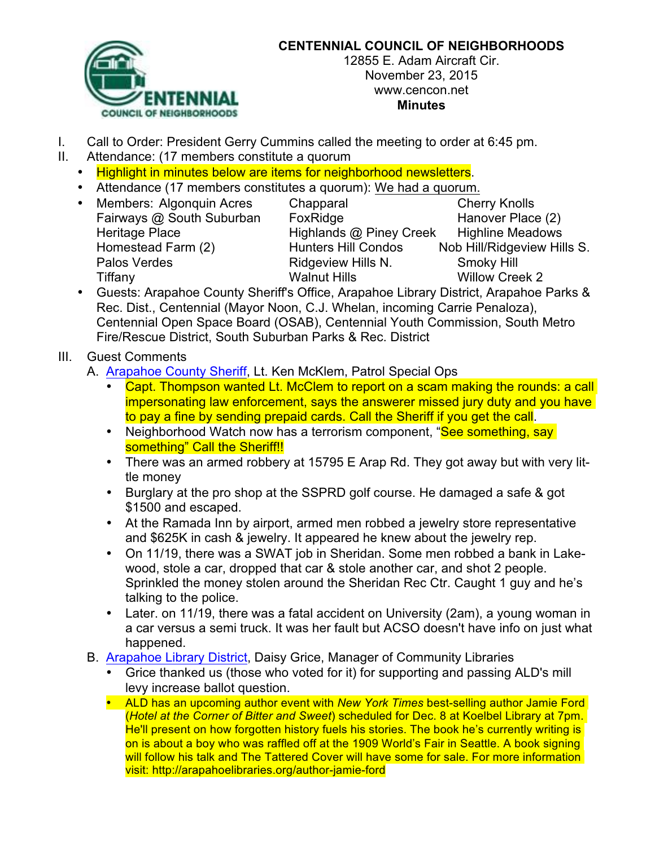

## **CENTENNIAL COUNCIL OF NEIGHBORHOODS**

12855 E. Adam Aircraft Cir. November 23, 2015 www.cencon.net **Minutes**

- I. Call to Order: President Gerry Cummins called the meeting to order at 6:45 pm.
- II. Attendance: (17 members constitute a quorum
	- Highlight in minutes below are items for neighborhood newsletters.
	- Attendance (17 members constitutes a quorum): We had a quorum.
	-

• Members: Algonquin Acres Chapparal Cherry Knolls Fairways @ South Suburban FoxRidge Form Hanover Place (2) Heritage Place **Highlands @ Piney Creek** Highline Meadows<br>Homestead Farm (2) Hunters Hill Condos Nob Hill/Ridgeview Hil Homestead Farm (2) Hunters Hill Condos Nob Hill/Ridgeview Hills S. Palos Verdes **Ridgeview Hills N.** Smoky Hill Tiffany **Walnut Hills** Walnut Hills Willow Creek 2

- Guests: Arapahoe County Sheriff's Office, Arapahoe Library District, Arapahoe Parks & Rec. Dist., Centennial (Mayor Noon, C.J. Whelan, incoming Carrie Penaloza), Centennial Open Space Board (OSAB), Centennial Youth Commission, South Metro Fire/Rescue District, South Suburban Parks & Rec. District
- III. Guest Comments
	- A. [Arapahoe](http://www.arapahoesheriff.org) County Sheriff, Lt. Ken McKlem, Patrol Special Ops
		- Capt. Thompson wanted Lt. McClem to report on a scam making the rounds: a call impersonating law enforcement, says the answerer missed jury duty and you have to pay a fine by sending prepaid cards. Call the Sheriff if you get the call.
		- Neighborhood Watch now has a terrorism component, "See something, say something" Call the Sheriff!!
		- There was an armed robbery at 15795 E Arap Rd. They got away but with very little money
		- Burglary at the pro shop at the SSPRD golf course. He damaged a safe & got \$1500 and escaped.
		- At the Ramada Inn by airport, armed men robbed a jewelry store representative and \$625K in cash & jewelry. It appeared he knew about the jewelry rep.
		- On 11/19, there was a SWAT job in Sheridan. Some men robbed a bank in Lakewood, stole a car, dropped that car & stole another car, and shot 2 people. Sprinkled the money stolen around the Sheridan Rec Ctr. Caught 1 guy and he's talking to the police.
		- Later. on 11/19, there was a fatal accident on University (2am), a young woman in a car versus a semi truck. It was her fault but ACSO doesn't have info on just what happened.
	- B. [Arapahoe](http://www.arapahoelibraries.org/) Library District, Daisy Grice, Manager of Community Libraries
		- Grice thanked us (those who voted for it) for supporting and passing ALD's mill levy increase ballot question.
		- ALD has an upcoming author event with *New York Times* best-selling author Jamie Ford (*Hotel at the Corner of Bitter and Sweet*) scheduled for Dec. 8 at Koelbel Library at 7pm. He'll present on how forgotten history fuels his stories. The book he's currently writing is on is about a boy who was raffled off at the 1909 World's Fair in Seattle. A book signing will follow his talk and The Tattered Cover will have some for sale. For more information visit: http://arapahoelibraries.org/author-jamie-ford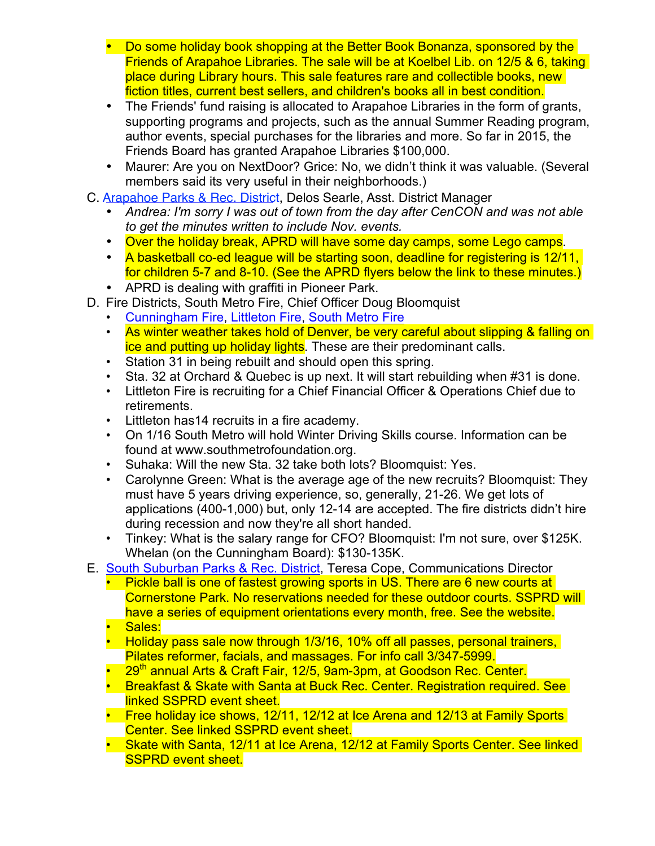- Do some holiday book shopping at the Better Book Bonanza, sponsored by the Friends of Arapahoe Libraries. The sale will be at Koelbel Lib. on 12/5 & 6, taking place during Library hours. This sale features rare and collectible books, new fiction titles, current best sellers, and children's books all in best condition.
- The Friends' fund raising is allocated to Arapahoe Libraries in the form of grants, supporting programs and projects, such as the annual Summer Reading program, author events, special purchases for the libraries and more. So far in 2015, the Friends Board has granted Arapahoe Libraries \$100,000.
- Maurer: Are you on NextDoor? Grice: No, we didn't think it was valuable. (Several members said its very useful in their neighborhoods.)
- C. [Arapahoe](http://www.aprd.org) Parks & Rec. District, Delos Searle, Asst. District Manager
	- *Andrea: I'm sorry I was out of town from the day after CenCON and was not able to get the minutes written to include Nov. events.*
	- Over the holiday break, APRD will have some day camps, some Lego camps.
	- A basketball co-ed league will be starting soon, deadline for registering is 12/11, for children 5-7 and 8-10. (See the APRD flyers below the link to these minutes.)
	- APRD is dealing with graffiti in Pioneer Park.
- D. Fire Districts, South Metro Fire, Chief Officer Doug Bloomquist
	- [Cunningham](http://www.cfpd.org) Fire, [Littleton](http://www.littletongov.org/fire) Fire, [South](http://www.southmetro.org) Metro Fire
	- As winter weather takes hold of Denver, be very careful about slipping & falling on ice and putting up holiday lights. These are their predominant calls.
	- Station 31 in being rebuilt and should open this spring.
	- Sta. 32 at Orchard & Quebec is up next. It will start rebuilding when #31 is done.
	- Littleton Fire is recruiting for a Chief Financial Officer & Operations Chief due to retirements.
	- Littleton has14 recruits in a fire academy.
	- On 1/16 South Metro will hold Winter Driving Skills course. Information can be found at www.southmetrofoundation.org.
	- Suhaka: Will the new Sta. 32 take both lots? Bloomquist: Yes.
	- Carolynne Green: What is the average age of the new recruits? Bloomquist: They must have 5 years driving experience, so, generally, 21-26. We get lots of applications (400-1,000) but, only 12-14 are accepted. The fire districts didn't hire during recession and now they're all short handed.
	- Tinkey: What is the salary range for CFO? Bloomquist: I'm not sure, over \$125K. Whelan (on the Cunningham Board): \$130-135K.
- E. South Suburban [Parks & Rec.](http://www.sspr.org) District, Teresa Cope, Communications Director
	- Pickle ball is one of fastest growing sports in US. There are 6 new courts at Cornerstone Park. No reservations needed for these outdoor courts. SSPRD will have a series of equipment orientations every month, free. See the website.
	- Sales:
	- Holiday pass sale now through 1/3/16, 10% off all passes, personal trainers, Pilates reformer, facials, and massages. For info call 3/347-5999.
	- 29<sup>th</sup> annual Arts & Craft Fair, 12/5, 9am-3pm, at Goodson Rec. Center.
	- Breakfast & Skate with Santa at Buck Rec. Center. Registration required. See linked SSPRD event sheet.
	- Free holiday ice shows, 12/11, 12/12 at Ice Arena and 12/13 at Family Sports Center. See linked SSPRD event sheet.
	- Skate with Santa, 12/11 at Ice Arena, 12/12 at Family Sports Center. See linked **SSPRD event sheet.**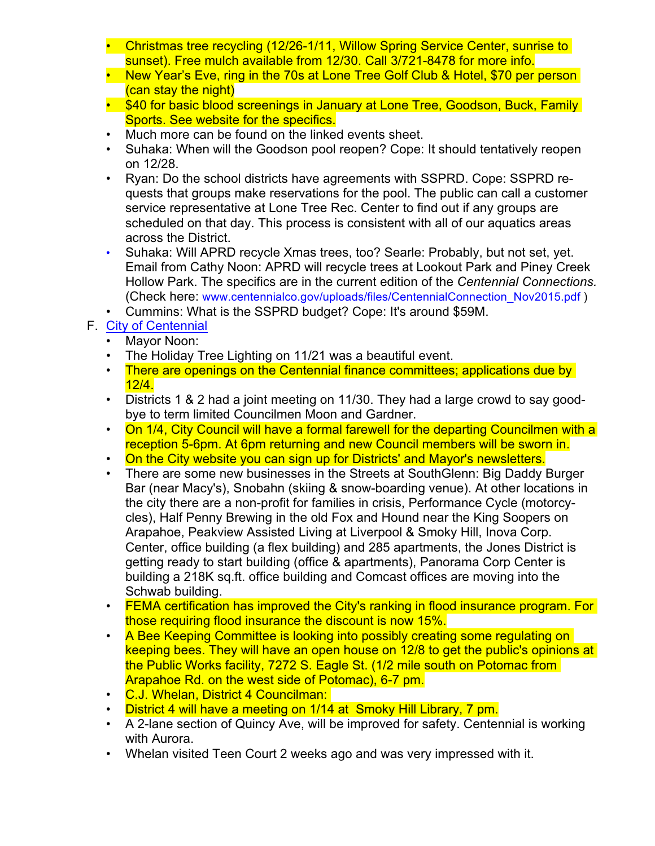- Christmas tree recycling (12/26-1/11, Willow Spring Service Center, sunrise to sunset). Free mulch available from 12/30. Call 3/721-8478 for more info.
- New Year's Eve, ring in the 70s at Lone Tree Golf Club & Hotel, \$70 per person (can stay the night)
- \$40 for basic blood screenings in January at Lone Tree, Goodson, Buck, Family Sports. See website for the specifics.
- Much more can be found on the linked events sheet.
- Suhaka: When will the Goodson pool reopen? Cope: It should tentatively reopen on 12/28.
- Ryan: Do the school districts have agreements with SSPRD. Cope: SSPRD requests that groups make reservations for the pool. The public can call a customer service representative at Lone Tree Rec. Center to find out if any groups are scheduled on that day. This process is consistent with all of our aquatics areas across the District.
- Suhaka: Will APRD recycle Xmas trees, too? Searle: Probably, but not set, yet. Email from Cathy Noon: APRD will recycle trees at Lookout Park and Piney Creek Hollow Park. The specifics are in the current edition of the *Centennial Connections.* (Check here: www.centennialco.gov/uploads/files/CentennialConnection\_Nov2015.pdf )
- Cummins: What is the SSPRD budget? Cope: It's around \$59M.
- F. City of [Centennial](http://www.centennialco.gov)
	- Mayor Noon:
	- The Holiday Tree Lighting on 11/21 was a beautiful event.
	- There are openings on the Centennial finance committees; applications due by 12/4.
	- Districts 1 & 2 had a joint meeting on 11/30. They had a large crowd to say goodbye to term limited Councilmen Moon and Gardner.
	- On 1/4, City Council will have a formal farewell for the departing Councilmen with a reception 5-6pm. At 6pm returning and new Council members will be sworn in.
	- On the City website you can sign up for Districts' and Mayor's newsletters.
	- There are some new businesses in the Streets at SouthGlenn: Big Daddy Burger Bar (near Macy's), Snobahn (skiing & snow-boarding venue). At other locations in the city there are a non-profit for families in crisis, Performance Cycle (motorcycles), Half Penny Brewing in the old Fox and Hound near the King Soopers on Arapahoe, Peakview Assisted Living at Liverpool & Smoky Hill, Inova Corp. Center, office building (a flex building) and 285 apartments, the Jones District is getting ready to start building (office & apartments), Panorama Corp Center is building a 218K sq.ft. office building and Comcast offices are moving into the Schwab building.
	- FEMA certification has improved the City's ranking in flood insurance program. For those requiring flood insurance the discount is now 15%.
	- A Bee Keeping Committee is looking into possibly creating some regulating on keeping bees. They will have an open house on 12/8 to get the public's opinions at the Public Works facility, 7272 S. Eagle St. (1/2 mile south on Potomac from Arapahoe Rd. on the west side of Potomac), 6-7 pm.
	- C.J. Whelan, District 4 Councilman:
	- District 4 will have a meeting on 1/14 at Smoky Hill Library, 7 pm.
	- A 2-lane section of Quincy Ave, will be improved for safety. Centennial is working with Aurora.
	- Whelan visited Teen Court 2 weeks ago and was very impressed with it.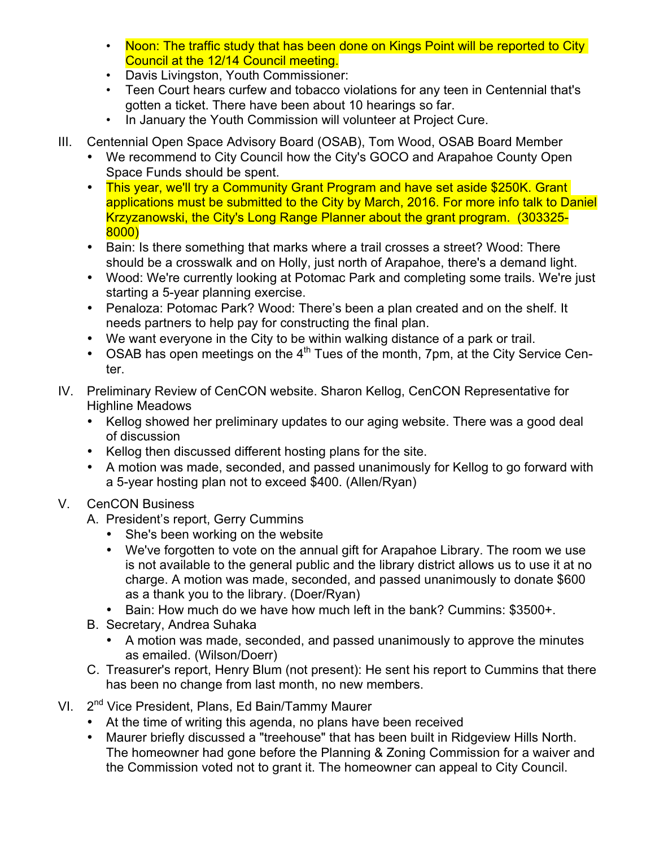- Noon: The traffic study that has been done on Kings Point will be reported to City Council at the 12/14 Council meeting.
- Davis Livingston, Youth Commissioner:
- Teen Court hears curfew and tobacco violations for any teen in Centennial that's gotten a ticket. There have been about 10 hearings so far.
- In January the Youth Commission will volunteer at Project Cure.
- III. Centennial Open Space Advisory Board (OSAB), Tom Wood, OSAB Board Member
	- We recommend to City Council how the City's GOCO and Arapahoe County Open Space Funds should be spent.
	- This year, we'll try a Community Grant Program and have set aside \$250K. Grant applications must be submitted to the City by March, 2016. For more info talk to Daniel Krzyzanowski, the City's Long Range Planner about the grant program. (303325- 8000)
	- Bain: Is there something that marks where a trail crosses a street? Wood: There should be a crosswalk and on Holly, just north of Arapahoe, there's a demand light.
	- Wood: We're currently looking at Potomac Park and completing some trails. We're just starting a 5-year planning exercise.
	- Penaloza: Potomac Park? Wood: There's been a plan created and on the shelf. It needs partners to help pay for constructing the final plan.
	- We want everyone in the City to be within walking distance of a park or trail.
	- OSAB has open meetings on the  $4<sup>th</sup>$  Tues of the month, 7pm, at the City Service Center.
- IV. Preliminary Review of CenCON website. Sharon Kellog, CenCON Representative for Highline Meadows
	- Kellog showed her preliminary updates to our aging website. There was a good deal of discussion
	- Kellog then discussed different hosting plans for the site.
	- A motion was made, seconded, and passed unanimously for Kellog to go forward with a 5-year hosting plan not to exceed \$400. (Allen/Ryan)
- V. CenCON Business
	- A. President's report, Gerry Cummins
		- She's been working on the website
		- We've forgotten to vote on the annual gift for Arapahoe Library. The room we use is not available to the general public and the library district allows us to use it at no charge. A motion was made, seconded, and passed unanimously to donate \$600 as a thank you to the library. (Doer/Ryan)
		- Bain: How much do we have how much left in the bank? Cummins: \$3500+.
	- B. Secretary, Andrea Suhaka
		- A motion was made, seconded, and passed unanimously to approve the minutes as emailed. (Wilson/Doerr)
	- C. Treasurer's report, Henry Blum (not present): He sent his report to Cummins that there has been no change from last month, no new members.
- VI. 2<sup>nd</sup> Vice President, Plans, Ed Bain/Tammy Maurer
	- At the time of writing this agenda, no plans have been received
	- Maurer briefly discussed a "treehouse" that has been built in Ridgeview Hills North. The homeowner had gone before the Planning & Zoning Commission for a waiver and the Commission voted not to grant it. The homeowner can appeal to City Council.